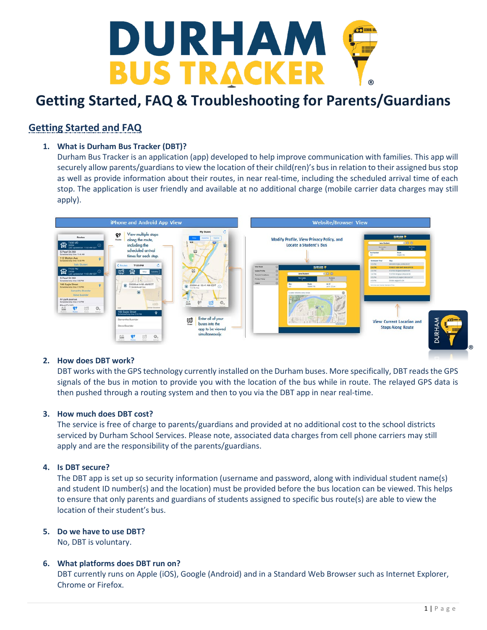

# **Getting Started and FAQ**

# **1. What is Durham Bus Tracker (DBT)?**

Durham Bus Tracker is an application (app) developed to help improve communication with families. This app will securely allow parents/guardians to view the location of their child(ren)'s bus in relation to their assigned bus stop as well as provide information about their routes, in near real-time, including the scheduled arrival time of each stop. The application is user friendly and available at no additional charge (mobile carrier data charges may still apply).



#### **2. How does DBT work?**

DBT works with the GPS technology currently installed on the Durham buses. More specifically, DBT reads the GPS signals of the bus in motion to provide you with the location of the bus while in route. The relayed GPS data is then pushed through a routing system and then to you via the DBT app in near real-time.

#### **3. How much does DBT cost?**

The service is free of charge to parents/guardians and provided at no additional cost to the school districts serviced by Durham School Services. Please note, associated data charges from cell phone carriers may still apply and are the responsibility of the parents/guardians.

#### **4. Is DBT secure?**

The DBT app is set up so security information (username and password, along with individual student name(s) and student ID number(s) and the location) must be provided before the bus location can be viewed. This helps to ensure that only parents and guardians of students assigned to specific bus route(s) are able to view the location of their student's bus.

#### **5. Do we have to use DBT?**

No, DBT is voluntary.

#### **6. What platforms does DBT run on?**

DBT currently runs on Apple (iOS), Google (Android) and in a Standard Web Browser such as Internet Explorer, Chrome or Firefox.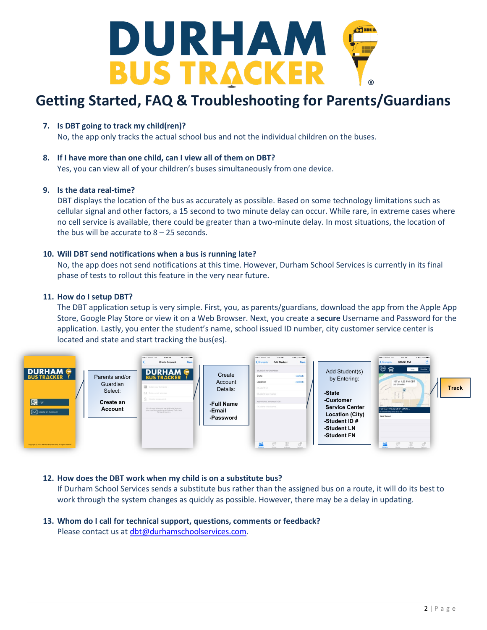

**7. Is DBT going to track my child(ren)?**

No, the app only tracks the actual school bus and not the individual children on the buses.

#### **8. If I have more than one child, can I view all of them on DBT?**

Yes, you can view all of your children's buses simultaneously from one device.

#### **9. Is the data real-time?**

DBT displays the location of the bus as accurately as possible. Based on some technology limitations such as cellular signal and other factors, a 15 second to two minute delay can occur. While rare, in extreme cases where no cell service is available, there could be greater than a two-minute delay. In most situations, the location of the bus will be accurate to 8 – 25 seconds.

#### **10. Will DBT send notifications when a bus is running late?**

No, the app does not send notifications at this time. However, Durham School Services is currently in its final phase of tests to rollout this feature in the very near future.

#### **11. How do I setup DBT?**

The DBT application setup is very simple. First, you, as parents/guardians, download the app from the Apple App Store, Google Play Store or view it on a Web Browser. Next, you create a **secure** Username and Password for the application. Lastly, you enter the student's name, school issued ID number, city customer service center is located and state and start tracking the bus(es).



#### **12. How does the DBT work when my child is on a substitute bus?**

If Durham School Services sends a substitute bus rather than the assigned bus on a route, it will do its best to work through the system changes as quickly as possible. However, there may be a delay in updating.

**13. Whom do I call for technical support, questions, comments or feedback?** Please contact us at [dbt@durhamschoolservices.com.](mailto:dbt@durhamschoolservices.com)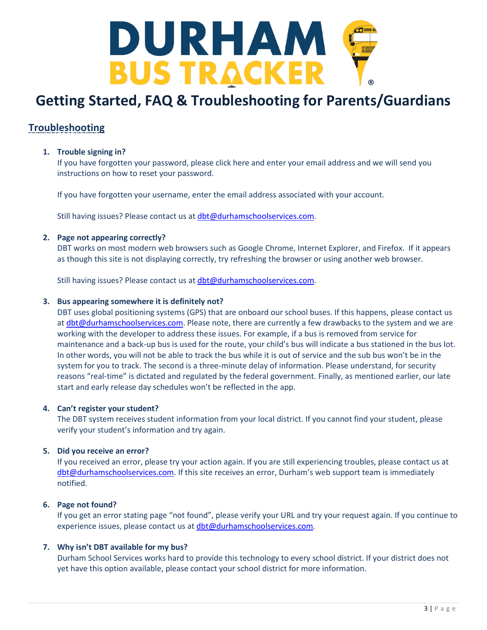

# **Troubleshooting**

# **1. Trouble signing in?**

If you have forgotten your password, please click here and enter your email address and we will send you instructions on how to reset your password.

If you have forgotten your username, enter the email address associated with your account.

Still having issues? Please contact us at [dbt@durhamschoolservices.com.](mailto:dbt@durhamschoolservices.com)

## **2. Page not appearing correctly?**

DBT works on most modern web browsers such as Google Chrome, Internet Explorer, and Firefox. If it appears as though this site is not displaying correctly, try refreshing the browser or using another web browser.

Still having issues? Please contact us at [dbt@durhamschoolservices.com.](mailto:dbt@durhamschoolservices.com)

## **3. Bus appearing somewhere it is definitely not?**

DBT uses global positioning systems (GPS) that are onboard our school buses. If this happens, please contact us at [dbt@durhamschoolservices.com.](mailto:dbt@durhamschoolservices.com) Please note, there are currently a few drawbacks to the system and we are working with the developer to address these issues. For example, if a bus is removed from service for maintenance and a back-up bus is used for the route, your child's bus will indicate a bus stationed in the bus lot. In other words, you will not be able to track the bus while it is out of service and the sub bus won't be in the system for you to track. The second is a three-minute delay of information. Please understand, for security reasons "real-time" is dictated and regulated by the federal government. Finally, as mentioned earlier, our late start and early release day schedules won't be reflected in the app.

## **4. Can't register your student?**

The DBT system receives student information from your local district. If you cannot find your student, please verify your student's information and try again.

## **5. Did you receive an error?**

If you received an error, please try your action again. If you are still experiencing troubles, please contact us at [dbt@durhamschoolservices.com.](mailto:dbt@durhamschoolservices.com) If this site receives an error, Durham's web support team is immediately notified.

## **6. Page not found?**

If you get an error stating page "not found", please verify your URL and try your request again. If you continue to experience issues, please contact us at [dbt@durhamschoolservices.com.](mailto:dbt@durhamschoolservices.com)

## **7. Why isn't DBT available for my bus?**

Durham School Services works hard to provide this technology to every school district. If your district does not yet have this option available, please contact your school district for more information.